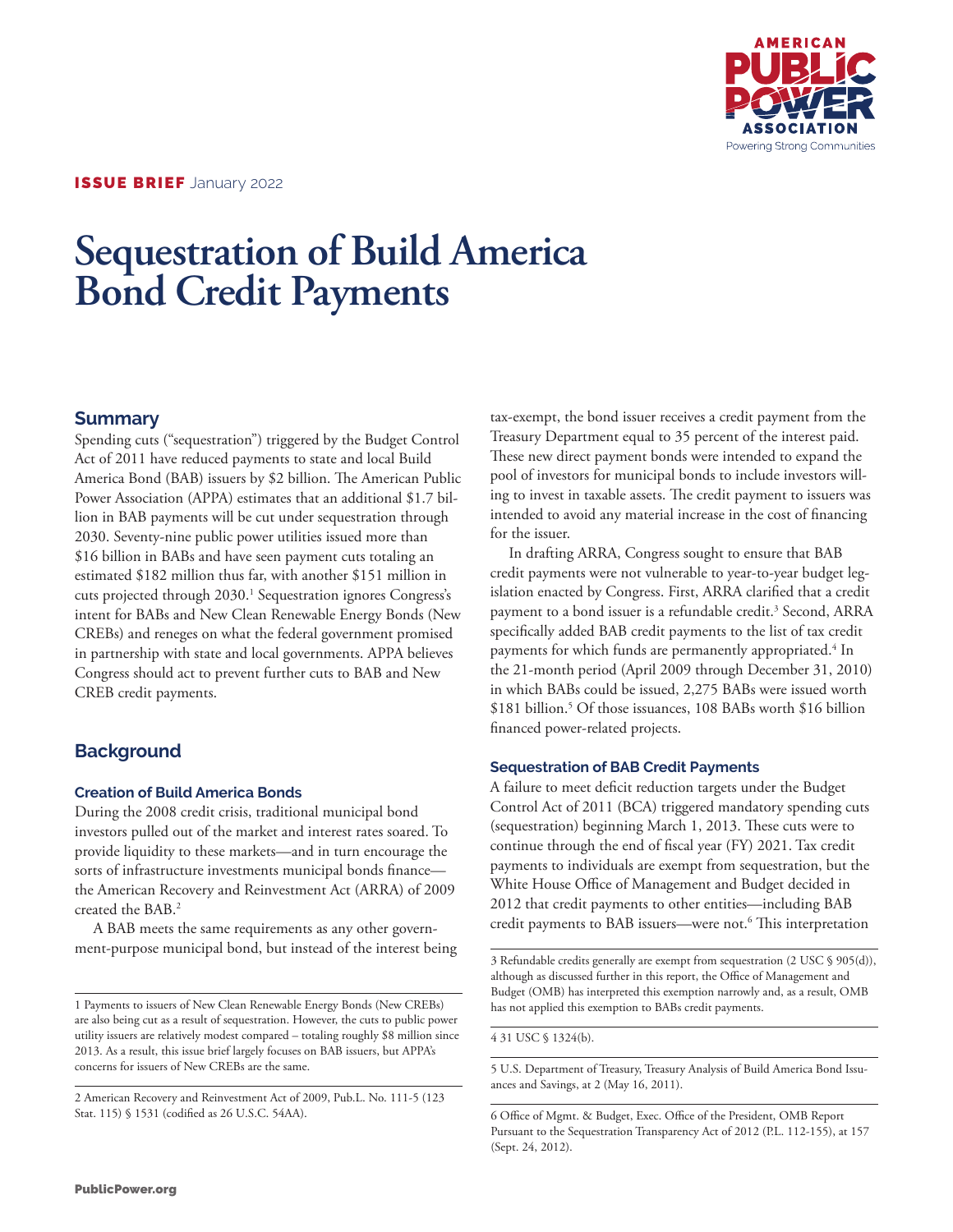

# **Sequestration of Build America Bond Credit Payments**

### **Summary**

Spending cuts ("sequestration") triggered by the Budget Control Act of 2011 have reduced payments to state and local Build America Bond (BAB) issuers by \$2 billion. The American Public Power Association (APPA) estimates that an additional \$1.7 billion in BAB payments will be cut under sequestration through 2030. Seventy-nine public power utilities issued more than \$16 billion in BABs and have seen payment cuts totaling an estimated \$182 million thus far, with another \$151 million in cuts projected through 2030.<sup>1</sup> Sequestration ignores Congress's intent for BABs and New Clean Renewable Energy Bonds (New CREBs) and reneges on what the federal government promised in partnership with state and local governments. APPA believes Congress should act to prevent further cuts to BAB and New CREB credit payments.

## **Background**

#### **Creation of Build America Bonds**

During the 2008 credit crisis, traditional municipal bond investors pulled out of the market and interest rates soared. To provide liquidity to these markets—and in turn encourage the sorts of infrastructure investments municipal bonds finance the American Recovery and Reinvestment Act (ARRA) of 2009 created the BAB.2

A BAB meets the same requirements as any other government-purpose municipal bond, but instead of the interest being tax-exempt, the bond issuer receives a credit payment from the Treasury Department equal to 35 percent of the interest paid. These new direct payment bonds were intended to expand the pool of investors for municipal bonds to include investors willing to invest in taxable assets. The credit payment to issuers was intended to avoid any material increase in the cost of financing for the issuer.

In drafting ARRA, Congress sought to ensure that BAB credit payments were not vulnerable to year-to-year budget legislation enacted by Congress. First, ARRA clarified that a credit payment to a bond issuer is a refundable credit.<sup>3</sup> Second, ARRA specifically added BAB credit payments to the list of tax credit payments for which funds are permanently appropriated. $^4$  In the 21-month period (April 2009 through December 31, 2010) in which BABs could be issued, 2,275 BABs were issued worth \$181 billion.5 Of those issuances, 108 BABs worth \$16 billion financed power-related projects.

#### **Sequestration of BAB Credit Payments**

A failure to meet deficit reduction targets under the Budget Control Act of 2011 (BCA) triggered mandatory spending cuts (sequestration) beginning March 1, 2013. These cuts were to continue through the end of fiscal year (FY) 2021. Tax credit payments to individuals are exempt from sequestration, but the White House Office of Management and Budget decided in 2012 that credit payments to other entities—including BAB credit payments to BAB issuers—were not.6 This interpretation

3 Refundable credits generally are exempt from sequestration (2 USC § 905(d)), although as discussed further in this report, the Office of Management and Budget (OMB) has interpreted this exemption narrowly and, as a result, OMB has not applied this exemption to BABs credit payments.

4 31 USC § 1324(b).

5 U.S. Department of Treasury, Treasury Analysis of Build America Bond Issuances and Savings, at 2 (May 16, 2011).

6 Office of Mgmt. & Budget, Exec. Office of the President, OMB Report Pursuant to the Sequestration Transparency Act of 2012 (P.L. 112-155), at 157 (Sept. 24, 2012).

<sup>1</sup> Payments to issuers of New Clean Renewable Energy Bonds (New CREBs) are also being cut as a result of sequestration. However, the cuts to public power utility issuers are relatively modest compared – totaling roughly \$8 million since 2013. As a result, this issue brief largely focuses on BAB issuers, but APPA's concerns for issuers of New CREBs are the same.

<sup>2</sup> American Recovery and Reinvestment Act of 2009, Pub.L. No. 111-5 (123 Stat. 115) § 1531 (codified as 26 U.S.C. 54AA).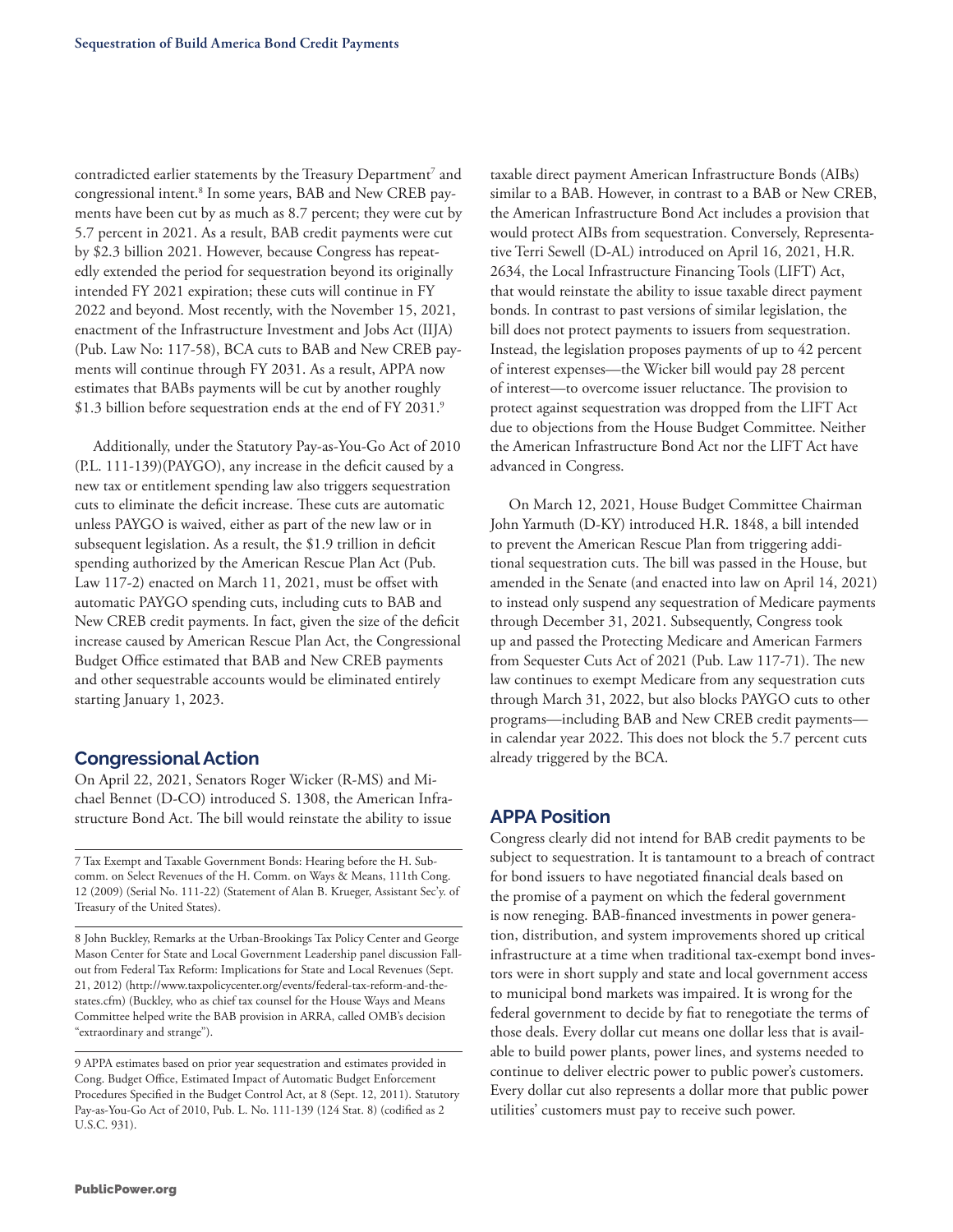contradicted earlier statements by the Treasury Department<sup>7</sup> and congressional intent.<sup>8</sup> In some years, BAB and New CREB payments have been cut by as much as 8.7 percent; they were cut by 5.7 percent in 2021. As a result, BAB credit payments were cut by \$2.3 billion 2021. However, because Congress has repeatedly extended the period for sequestration beyond its originally intended FY 2021 expiration; these cuts will continue in FY 2022 and beyond. Most recently, with the November 15, 2021, enactment of the Infrastructure Investment and Jobs Act (IIJA) (Pub. Law No: 117-58), BCA cuts to BAB and New CREB payments will continue through FY 2031. As a result, APPA now estimates that BABs payments will be cut by another roughly \$1.3 billion before sequestration ends at the end of FY 2031.9

Additionally, under the Statutory Pay-as-You-Go Act of 2010 (P.L. 111-139)(PAYGO), any increase in the deficit caused by a new tax or entitlement spending law also triggers sequestration cuts to eliminate the deficit increase. These cuts are automatic unless PAYGO is waived, either as part of the new law or in subsequent legislation. As a result, the \$1.9 trillion in deficit spending authorized by the American Rescue Plan Act (Pub. Law 117-2) enacted on March 11, 2021, must be offset with automatic PAYGO spending cuts, including cuts to BAB and New CREB credit payments. In fact, given the size of the deficit increase caused by American Rescue Plan Act, the Congressional Budget Office estimated that BAB and New CREB payments and other sequestrable accounts would be eliminated entirely starting January 1, 2023.

#### **Congressional Action**

On April 22, 2021, Senators Roger Wicker (R-MS) and Michael Bennet (D-CO) introduced S. 1308, the American Infrastructure Bond Act. The bill would reinstate the ability to issue

7 Tax Exempt and Taxable Government Bonds: Hearing before the H. Subcomm. on Select Revenues of the H. Comm. on Ways & Means, 111th Cong. 12 (2009) (Serial No. 111-22) (Statement of Alan B. Krueger, Assistant Sec'y. of Treasury of the United States).

8 John Buckley, Remarks at the Urban-Brookings Tax Policy Center and George Mason Center for State and Local Government Leadership panel discussion Fallout from Federal Tax Reform: Implications for State and Local Revenues (Sept. 21, 2012) (http://www.taxpolicycenter.org/events/federal-tax-reform-and-thestates.cfm) (Buckley, who as chief tax counsel for the House Ways and Means Committee helped write the BAB provision in ARRA, called OMB's decision "extraordinary and strange").

9 APPA estimates based on prior year sequestration and estimates provided in Cong. Budget Office, Estimated Impact of Automatic Budget Enforcement Procedures Specified in the Budget Control Act, at 8 (Sept. 12, 2011). Statutory Pay-as-You-Go Act of 2010, Pub. L. No. 111-139 (124 Stat. 8) (codified as 2 U.S.C. 931).

taxable direct payment American Infrastructure Bonds (AIBs) similar to a BAB. However, in contrast to a BAB or New CREB, the American Infrastructure Bond Act includes a provision that would protect AIBs from sequestration. Conversely, Representative Terri Sewell (D-AL) introduced on April 16, 2021, H.R. 2634, the Local Infrastructure Financing Tools (LIFT) Act, that would reinstate the ability to issue taxable direct payment bonds. In contrast to past versions of similar legislation, the bill does not protect payments to issuers from sequestration. Instead, the legislation proposes payments of up to 42 percent of interest expenses—the Wicker bill would pay 28 percent of interest—to overcome issuer reluctance. The provision to protect against sequestration was dropped from the LIFT Act due to objections from the House Budget Committee. Neither the American Infrastructure Bond Act nor the LIFT Act have advanced in Congress.

On March 12, 2021, House Budget Committee Chairman John Yarmuth (D-KY) introduced H.R. 1848, a bill intended to prevent the American Rescue Plan from triggering additional sequestration cuts. The bill was passed in the House, but amended in the Senate (and enacted into law on April 14, 2021) to instead only suspend any sequestration of Medicare payments through December 31, 2021. Subsequently, Congress took up and passed the Protecting Medicare and American Farmers from Sequester Cuts Act of 2021 (Pub. Law 117-71). The new law continues to exempt Medicare from any sequestration cuts through March 31, 2022, but also blocks PAYGO cuts to other programs—including BAB and New CREB credit payments in calendar year 2022. This does not block the 5.7 percent cuts already triggered by the BCA.

#### **APPA Position**

Congress clearly did not intend for BAB credit payments to be subject to sequestration. It is tantamount to a breach of contract for bond issuers to have negotiated financial deals based on the promise of a payment on which the federal government is now reneging. BAB-financed investments in power generation, distribution, and system improvements shored up critical infrastructure at a time when traditional tax-exempt bond investors were in short supply and state and local government access to municipal bond markets was impaired. It is wrong for the federal government to decide by fiat to renegotiate the terms of those deals. Every dollar cut means one dollar less that is available to build power plants, power lines, and systems needed to continue to deliver electric power to public power's customers. Every dollar cut also represents a dollar more that public power utilities' customers must pay to receive such power.